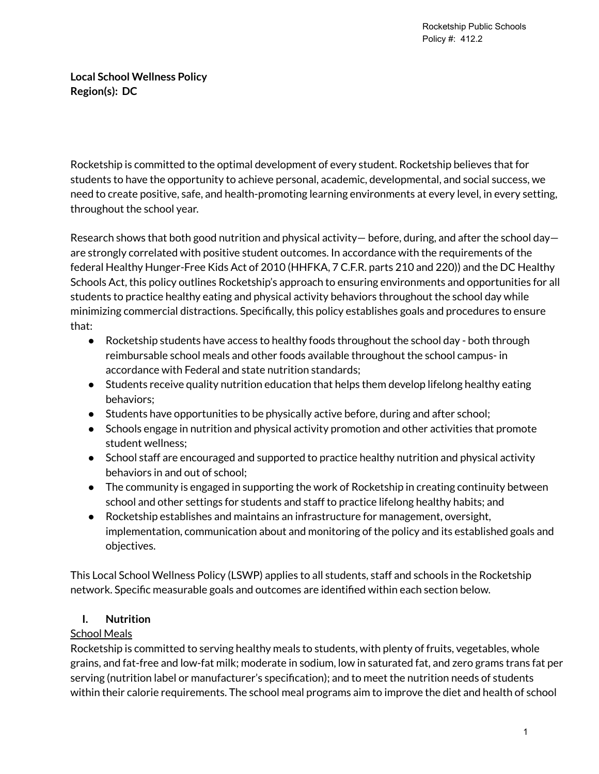**Local School Wellness Policy Region(s): DC**

Rocketship is committed to the optimal development of every student. Rocketship believes that for students to have the opportunity to achieve personal, academic, developmental, and social success, we need to create positive, safe, and health-promoting learning environments at every level, in every setting, throughout the school year.

Research shows that both good nutrition and physical activity— before, during, and after the school day are strongly correlated with positive student outcomes. In accordance with the requirements of the federal Healthy Hunger-Free Kids Act of 2010 (HHFKA, 7 C.F.R. parts 210 and 220)) and the DC Healthy Schools Act, this policy outlines Rocketship's approach to ensuring environments and opportunities for all students to practice healthy eating and physical activity behaviors throughout the school day while minimizing commercial distractions. Specifically, this policy establishes goals and procedures to ensure that:

- Rocketship students have access to healthy foods throughout the school day both through reimbursable school meals and other foods available throughout the school campus- in accordance with Federal and state nutrition standards;
- Students receive quality nutrition education that helps them develop lifelong healthy eating behaviors;
- Students have opportunities to be physically active before, during and after school;
- Schools engage in nutrition and physical activity promotion and other activities that promote student wellness;
- School staff are encouraged and supported to practice healthy nutrition and physical activity behaviors in and out of school;
- The community is engaged in supporting the work of Rocketship in creating continuity between school and other settings for students and staff to practice lifelong healthy habits; and
- Rocketship establishes and maintains an infrastructure for management, oversight, implementation, communication about and monitoring of the policy and its established goals and objectives.

This Local School Wellness Policy (LSWP) applies to all students, staff and schools in the Rocketship network. Specific measurable goals and outcomes are identified within each section below.

# **I. Nutrition**

# School Meals

Rocketship is committed to serving healthy meals to students, with plenty of fruits, vegetables, whole grains, and fat-free and low-fat milk; moderate in sodium, low in saturated fat, and zero grams trans fat per serving (nutrition label or manufacturer's specification); and to meet the nutrition needs of students within their calorie requirements. The school meal programs aim to improve the diet and health of school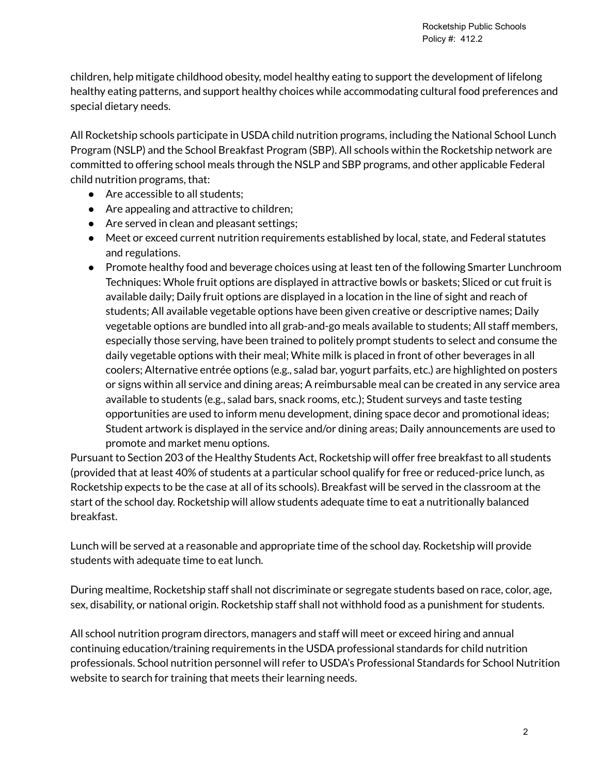children, help mitigate childhood obesity, model healthy eating to support the development of lifelong healthy eating patterns, and support healthy choices while accommodating cultural food preferences and special dietary needs.

All Rocketship schools participate in USDA child nutrition programs, including the National School Lunch Program (NSLP) and the School Breakfast Program (SBP). All schools within the Rocketship network are committed to offering school meals through the NSLP and SBP programs, and other applicable Federal child nutrition programs, that:

- Are accessible to all students;
- Are appealing and attractive to children;
- Are served in clean and pleasant settings;
- Meet or exceed current nutrition requirements established by local, state, and Federal statutes and regulations.
- Promote healthy food and beverage choices using at least ten of the following Smarter Lunchroom Techniques: Whole fruit options are displayed in attractive bowls or baskets; Sliced or cut fruit is available daily; Daily fruit options are displayed in a location in the line of sight and reach of students; All available vegetable options have been given creative or descriptive names; Daily vegetable options are bundled into all grab-and-go meals available to students; All staff members, especially those serving, have been trained to politely prompt students to select and consume the daily vegetable options with their meal; White milk is placed in front of other beverages in all coolers; Alternative entrée options (e.g., salad bar, yogurt parfaits, etc.) are highlighted on posters or signs within all service and dining areas; A reimbursable meal can be created in any service area available to students (e.g., salad bars, snack rooms, etc.); Student surveys and taste testing opportunities are used to inform menu development, dining space decor and promotional ideas; Student artwork is displayed in the service and/or dining areas; Daily announcements are used to promote and market menu options.

Pursuant to Section 203 of the Healthy Students Act, Rocketship will offer free breakfast to all students (provided that at least 40% of students at a particular school qualify for free or reduced-price lunch, as Rocketship expects to be the case at all of its schools). Breakfast will be served in the classroom at the start of the school day. Rocketship will allow students adequate time to eat a nutritionally balanced breakfast.

Lunch will be served at a reasonable and appropriate time of the school day. Rocketship will provide students with adequate time to eat lunch.

During mealtime, Rocketship staff shall not discriminate or segregate students based on race, color, age, sex, disability, or national origin. Rocketship staff shall not withhold food as a punishment for students.

All school nutrition program directors, managers and staff will meet or exceed hiring and annual continuing education/training requirements in the USDA professional standards for child nutrition professionals. School nutrition personnel will refer to USDA's Professional Standards for School Nutrition website to search for training that meets their learning needs.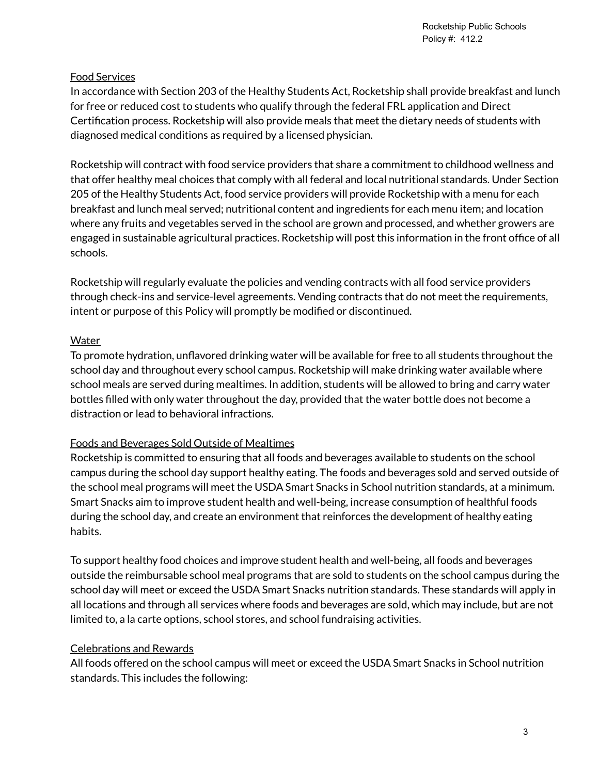#### Food Services

In accordance with Section 203 of the Healthy Students Act, Rocketship shall provide breakfast and lunch for free or reduced cost to students who qualify through the federal FRL application and Direct Certification process. Rocketship will also provide meals that meet the dietary needs of students with diagnosed medical conditions as required by a licensed physician.

Rocketship will contract with food service providers that share a commitment to childhood wellness and that offer healthy meal choices that comply with all federal and local nutritional standards. Under Section 205 of the Healthy Students Act, food service providers will provide Rocketship with a menu for each breakfast and lunch meal served; nutritional content and ingredients for each menu item; and location where any fruits and vegetables served in the school are grown and processed, and whether growers are engaged in sustainable agricultural practices. Rocketship will post this information in the front office of all schools.

Rocketship will regularly evaluate the policies and vending contracts with all food service providers through check-ins and service-level agreements. Vending contracts that do not meet the requirements, intent or purpose of this Policy will promptly be modified or discontinued.

## **Water**

To promote hydration, unflavored drinking water will be available for free to all students throughout the school day and throughout every school campus. Rocketship will make drinking water available where school meals are served during mealtimes. In addition, students will be allowed to bring and carry water bottles filled with only water throughout the day, provided that the water bottle does not become a distraction or lead to behavioral infractions.

## Foods and Beverages Sold Outside of Mealtimes

Rocketship is committed to ensuring that all foods and beverages available to students on the school campus during the school day support healthy eating. The foods and beverages sold and served outside of the school meal programs will meet the USDA Smart Snacks in School nutrition standards, at a minimum. Smart Snacks aim to improve student health and well-being, increase consumption of healthful foods during the school day, and create an environment that reinforces the development of healthy eating habits.

To support healthy food choices and improve student health and well-being, all foods and beverages outside the reimbursable school meal programs that are sold to students on the school campus during the school day will meet or exceed the USDA Smart Snacks nutrition standards. These standards will apply in all locations and through all services where foods and beverages are sold, which may include, but are not limited to, a la carte options, school stores, and school fundraising activities.

# Celebrations and Rewards

All foods offered on the school campus will meet or exceed the USDA Smart Snacks in School nutrition standards. This includes the following: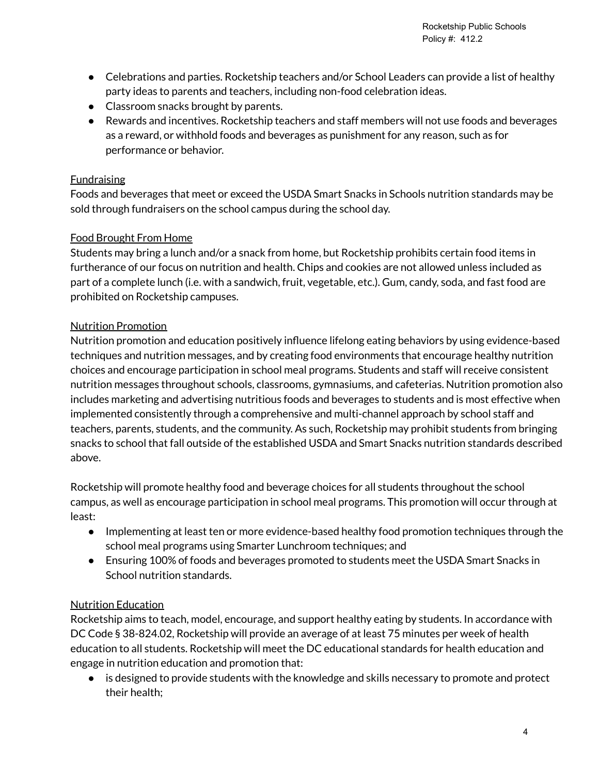- Celebrations and parties. Rocketship teachers and/or School Leaders can provide a list of healthy party ideas to parents and teachers, including non-food celebration ideas.
- Classroom snacks brought by parents.
- Rewards and incentives. Rocketship teachers and staff members will not use foods and beverages as a reward, or withhold foods and beverages as punishment for any reason, such as for performance or behavior.

## Fundraising

Foods and beverages that meet or exceed the USDA Smart Snacks in Schools nutrition standards may be sold through fundraisers on the school campus during the school day.

# Food Brought From Home

Students may bring a lunch and/or a snack from home, but Rocketship prohibits certain food items in furtherance of our focus on nutrition and health. Chips and cookies are not allowed unless included as part of a complete lunch (i.e. with a sandwich, fruit, vegetable, etc.). Gum, candy, soda, and fast food are prohibited on Rocketship campuses.

# Nutrition Promotion

Nutrition promotion and education positively influence lifelong eating behaviors by using evidence-based techniques and nutrition messages, and by creating food environments that encourage healthy nutrition choices and encourage participation in school meal programs. Students and staff will receive consistent nutrition messages throughout schools, classrooms, gymnasiums, and cafeterias. Nutrition promotion also includes marketing and advertising nutritious foods and beverages to students and is most effective when implemented consistently through a comprehensive and multi-channel approach by school staff and teachers, parents, students, and the community. As such, Rocketship may prohibit students from bringing snacks to school that fall outside of the established USDA and Smart Snacks nutrition standards described above.

Rocketship will promote healthy food and beverage choices for all students throughout the school campus, as well as encourage participation in school meal programs. This promotion will occur through at least:

- Implementing at least ten or more evidence-based healthy food promotion techniques through the school meal programs using Smarter Lunchroom techniques; and
- Ensuring 100% of foods and beverages promoted to students meet the USDA Smart Snacks in School nutrition standards.

# Nutrition Education

Rocketship aims to teach, model, encourage, and support healthy eating by students. In accordance with DC Code § 38-824.02, Rocketship will provide an average of at least 75 minutes per week of health education to all students. Rocketship will meet the DC educational standards for health education and engage in nutrition education and promotion that:

● is designed to provide students with the knowledge and skills necessary to promote and protect their health;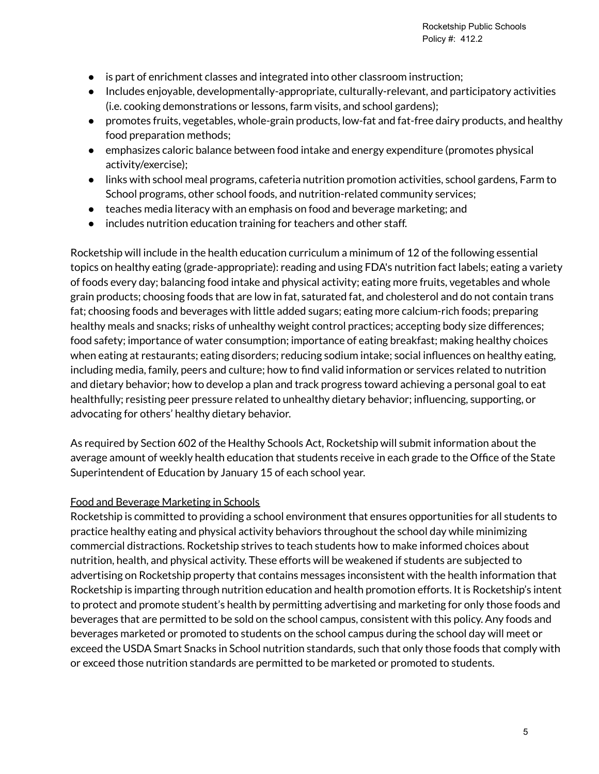- is part of enrichment classes and integrated into other classroom instruction;
- Includes enjoyable, developmentally-appropriate, culturally-relevant, and participatory activities (i.e. cooking demonstrations or lessons, farm visits, and school gardens);
- promotes fruits, vegetables, whole-grain products, low-fat and fat-free dairy products, and healthy food preparation methods;
- emphasizes caloric balance between food intake and energy expenditure (promotes physical activity/exercise);
- links with school meal programs, cafeteria nutrition promotion activities, school gardens, Farm to School programs, other school foods, and nutrition-related community services;
- teaches media literacy with an emphasis on food and beverage marketing; and
- includes nutrition education training for teachers and other staff.

Rocketship will include in the health education curriculum a minimum of 12 of the following essential topics on healthy eating (grade-appropriate): reading and using FDA's nutrition fact labels; eating a variety of foods every day; balancing food intake and physical activity; eating more fruits, vegetables and whole grain products; choosing foods that are low in fat, saturated fat, and cholesterol and do not contain trans fat; choosing foods and beverages with little added sugars; eating more calcium-rich foods; preparing healthy meals and snacks; risks of unhealthy weight control practices; accepting body size differences; food safety; importance of water consumption; importance of eating breakfast; making healthy choices when eating at restaurants; eating disorders; reducing sodium intake; social influences on healthy eating, including media, family, peers and culture; how to find valid information or services related to nutrition and dietary behavior; how to develop a plan and track progress toward achieving a personal goal to eat healthfully; resisting peer pressure related to unhealthy dietary behavior; influencing, supporting, or advocating for others' healthy dietary behavior.

As required by Section 602 of the Healthy Schools Act, Rocketship will submit information about the average amount of weekly health education that students receive in each grade to the Office of the State Superintendent of Education by January 15 of each school year.

#### Food and Beverage Marketing in Schools

Rocketship is committed to providing a school environment that ensures opportunities for all students to practice healthy eating and physical activity behaviors throughout the school day while minimizing commercial distractions. Rocketship strives to teach students how to make informed choices about nutrition, health, and physical activity. These efforts will be weakened if students are subjected to advertising on Rocketship property that contains messages inconsistent with the health information that Rocketship is imparting through nutrition education and health promotion efforts. It is Rocketship's intent to protect and promote student's health by permitting advertising and marketing for only those foods and beverages that are permitted to be sold on the school campus, consistent with this policy. Any foods and beverages marketed or promoted to students on the school campus during the school day will meet or exceed the USDA Smart Snacks in School nutrition standards, such that only those foods that comply with or exceed those nutrition standards are permitted to be marketed or promoted to students.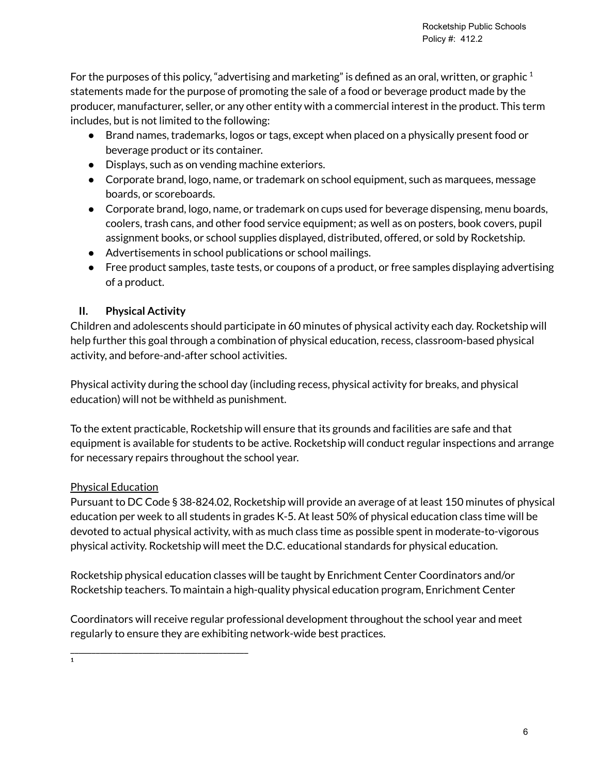For the purposes of this policy, "advertising and marketing" is defined as an oral, written, or graphic  $^1$ statements made for the purpose of promoting the sale of a food or beverage product made by the producer, manufacturer, seller, or any other entity with a commercial interest in the product. This term includes, but is not limited to the following:

- Brand names, trademarks, logos or tags, except when placed on a physically present food or beverage product or its container.
- Displays, such as on vending machine exteriors.
- Corporate brand, logo, name, or trademark on school equipment, such as marquees, message boards, or scoreboards.
- Corporate brand, logo, name, or trademark on cups used for beverage dispensing, menu boards, coolers, trash cans, and other food service equipment; as well as on posters, book covers, pupil assignment books, or school supplies displayed, distributed, offered, or sold by Rocketship.
- Advertisements in school publications or school mailings.
- Free product samples, taste tests, or coupons of a product, or free samples displaying advertising of a product.

# **II. Physical Activity**

Children and adolescents should participate in 60 minutes of physical activity each day. Rocketship will help further this goal through a combination of physical education, recess, classroom-based physical activity, and before-and-after school activities.

Physical activity during the school day (including recess, physical activity for breaks, and physical education) will not be withheld as punishment.

To the extent practicable, Rocketship will ensure that its grounds and facilities are safe and that equipment is available for students to be active. Rocketship will conduct regular inspections and arrange for necessary repairs throughout the school year.

# Physical Education

\_\_\_\_\_\_\_\_\_\_\_\_\_\_\_\_\_\_\_\_\_\_\_\_\_\_\_\_\_\_\_\_\_\_\_\_\_\_\_\_\_\_

Pursuant to DC Code § 38-824.02, Rocketship will provide an average of at least 150 minutes of physical education per week to all students in grades K-5. At least 50% of physical education class time will be devoted to actual physical activity, with as much class time as possible spent in moderate-to-vigorous physical activity. Rocketship will meet the D.C. educational standards for physical education.

Rocketship physical education classes will be taught by Enrichment Center Coordinators and/or Rocketship teachers. To maintain a high-quality physical education program, Enrichment Center

Coordinators will receive regular professional development throughout the school year and meet regularly to ensure they are exhibiting network-wide best practices.

 $\overline{1}$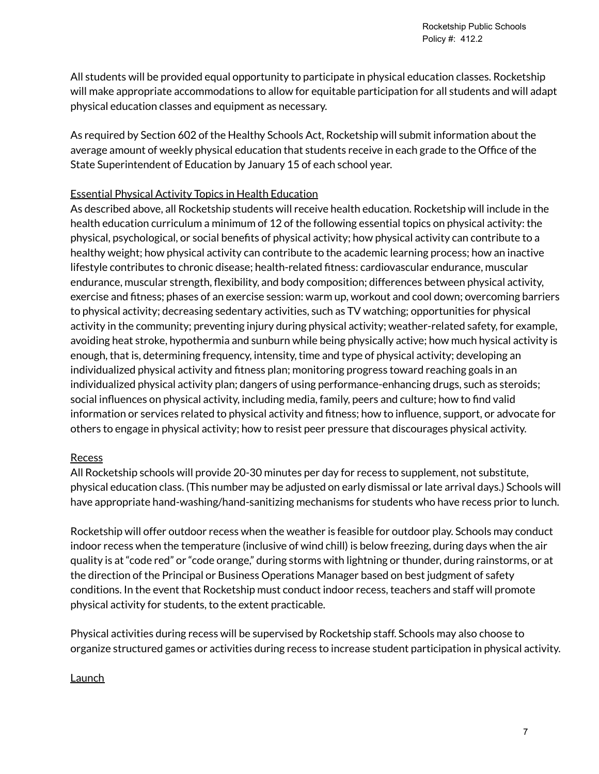All students will be provided equal opportunity to participate in physical education classes. Rocketship will make appropriate accommodations to allow for equitable participation for all students and will adapt physical education classes and equipment as necessary.

As required by Section 602 of the Healthy Schools Act, Rocketship will submit information about the average amount of weekly physical education that students receive in each grade to the Office of the State Superintendent of Education by January 15 of each school year.

## Essential Physical Activity Topics in Health Education

As described above, all Rocketship students will receive health education. Rocketship will include in the health education curriculum a minimum of 12 of the following essential topics on physical activity: the physical, psychological, or social benefits of physical activity; how physical activity can contribute to a healthy weight; how physical activity can contribute to the academic learning process; how an inactive lifestyle contributes to chronic disease; health-related fitness: cardiovascular endurance, muscular endurance, muscular strength, flexibility, and body composition; differences between physical activity, exercise and fitness; phases of an exercise session: warm up, workout and cool down; overcoming barriers to physical activity; decreasing sedentary activities, such as TV watching; opportunities for physical activity in the community; preventing injury during physical activity; weather-related safety, for example, avoiding heat stroke, hypothermia and sunburn while being physically active; how much hysical activity is enough, that is, determining frequency, intensity, time and type of physical activity; developing an individualized physical activity and fitness plan; monitoring progress toward reaching goals in an individualized physical activity plan; dangers of using performance-enhancing drugs, such as steroids; social influences on physical activity, including media, family, peers and culture; how to find valid information or services related to physical activity and fitness; how to influence, support, or advocate for others to engage in physical activity; how to resist peer pressure that discourages physical activity.

## **Recess**

All Rocketship schools will provide 20-30 minutes per day for recess to supplement, not substitute, physical education class. (This number may be adjusted on early dismissal or late arrival days.) Schools will have appropriate hand-washing/hand-sanitizing mechanisms for students who have recess prior to lunch.

Rocketship will offer outdoor recess when the weather is feasible for outdoor play. Schools may conduct indoor recess when the temperature (inclusive of wind chill) is below freezing, during days when the air quality is at "code red" or "code orange," during storms with lightning or thunder, during rainstorms, or at the direction of the Principal or Business Operations Manager based on best judgment of safety conditions. In the event that Rocketship must conduct indoor recess, teachers and staff will promote physical activity for students, to the extent practicable.

Physical activities during recess will be supervised by Rocketship staff. Schools may also choose to organize structured games or activities during recess to increase student participation in physical activity.

#### **Launch**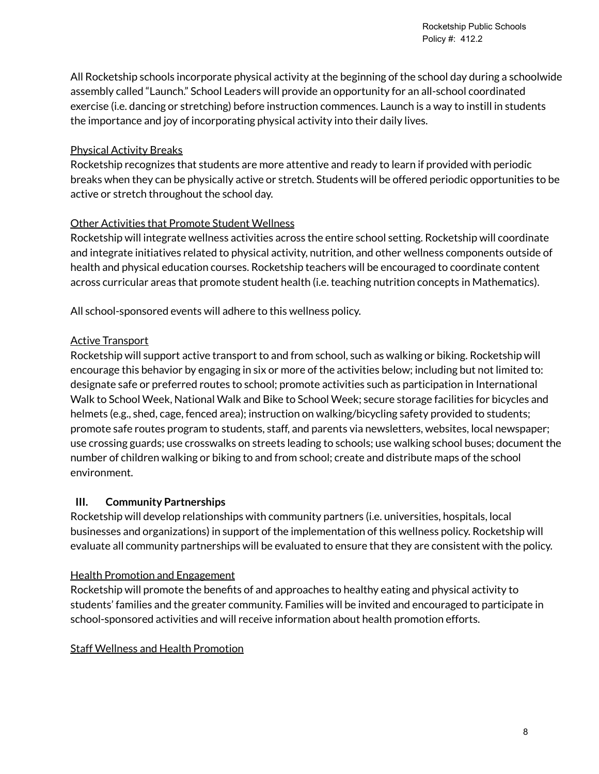Rocketship Public Schools Policy #: 412.2

All Rocketship schools incorporate physical activity at the beginning of the school day during a schoolwide assembly called "Launch." School Leaders will provide an opportunity for an all-school coordinated exercise (i.e. dancing or stretching) before instruction commences. Launch is a way to instill in students the importance and joy of incorporating physical activity into their daily lives.

## Physical Activity Breaks

Rocketship recognizes that students are more attentive and ready to learn if provided with periodic breaks when they can be physically active or stretch. Students will be offered periodic opportunities to be active or stretch throughout the school day.

## Other Activities that Promote Student Wellness

Rocketship will integrate wellness activities across the entire school setting. Rocketship will coordinate and integrate initiatives related to physical activity, nutrition, and other wellness components outside of health and physical education courses. Rocketship teachers will be encouraged to coordinate content across curricular areas that promote student health (i.e. teaching nutrition concepts in Mathematics).

All school-sponsored events will adhere to this wellness policy.

## Active Transport

Rocketship will support active transport to and from school, such as walking or biking. Rocketship will encourage this behavior by engaging in six or more of the activities below; including but not limited to: designate safe or preferred routes to school; promote activities such as participation in International Walk to School Week, National Walk and Bike to School Week; secure storage facilities for bicycles and helmets (e.g., shed, cage, fenced area); instruction on walking/bicycling safety provided to students; promote safe routes program to students, staff, and parents via newsletters, websites, local newspaper; use crossing guards; use crosswalks on streets leading to schools; use walking school buses; document the number of children walking or biking to and from school; create and distribute maps of the school environment.

## **III. Community Partnerships**

Rocketship will develop relationships with community partners (i.e. universities, hospitals, local businesses and organizations) in support of the implementation of this wellness policy. Rocketship will evaluate all community partnerships will be evaluated to ensure that they are consistent with the policy.

## Health Promotion and Engagement

Rocketship will promote the benefits of and approaches to healthy eating and physical activity to students' families and the greater community. Families will be invited and encouraged to participate in school-sponsored activities and will receive information about health promotion efforts.

## Staff Wellness and Health Promotion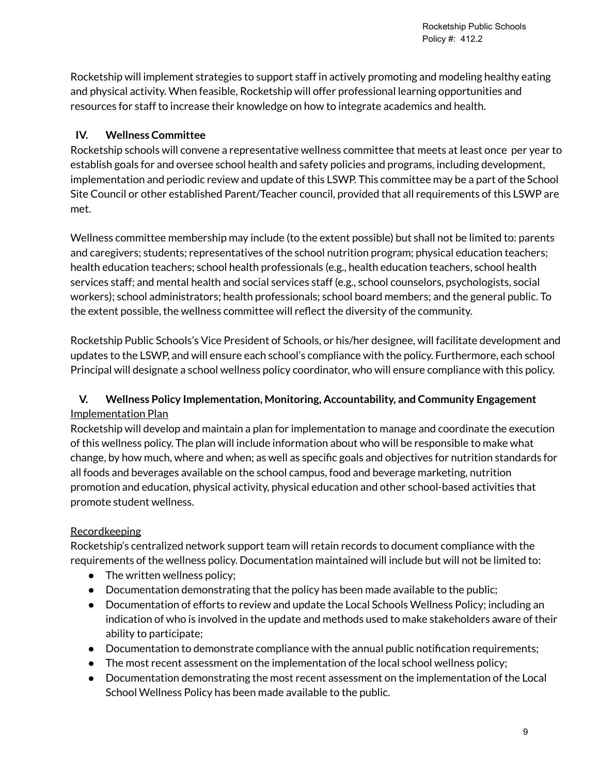Rocketship will implement strategies to support staff in actively promoting and modeling healthy eating and physical activity. When feasible, Rocketship will offer professional learning opportunities and resources for staff to increase their knowledge on how to integrate academics and health.

# **IV. Wellness Committee**

Rocketship schools will convene a representative wellness committee that meets at least once per year to establish goals for and oversee school health and safety policies and programs, including development, implementation and periodic review and update of this LSWP. This committee may be a part of the School Site Council or other established Parent/Teacher council, provided that all requirements of this LSWP are met.

Wellness committee membership may include (to the extent possible) but shall not be limited to: parents and caregivers; students; representatives of the school nutrition program; physical education teachers; health education teachers; school health professionals (e.g., health education teachers, school health services staff; and mental health and social services staff (e.g., school counselors, psychologists, social workers); school administrators; health professionals; school board members; and the general public. To the extent possible, the wellness committee will reflect the diversity of the community.

Rocketship Public Schools's Vice President of Schools, or his/her designee, will facilitate development and updates to the LSWP, and will ensure each school's compliance with the policy. Furthermore, each school Principal will designate a school wellness policy coordinator, who will ensure compliance with this policy.

# **V. Wellness Policy Implementation, Monitoring, Accountability, and Community Engagement** Implementation Plan

Rocketship will develop and maintain a plan for implementation to manage and coordinate the execution of this wellness policy. The plan will include information about who will be responsible to make what change, by how much, where and when; as well as specific goals and objectives for nutrition standards for all foods and beverages available on the school campus, food and beverage marketing, nutrition promotion and education, physical activity, physical education and other school-based activities that promote student wellness.

# **Recordkeeping**

Rocketship's centralized network support team will retain records to document compliance with the requirements of the wellness policy. Documentation maintained will include but will not be limited to:

- The written wellness policy;
- Documentation demonstrating that the policy has been made available to the public;
- Documentation of efforts to review and update the Local Schools Wellness Policy; including an indication of who is involved in the update and methods used to make stakeholders aware of their ability to participate;
- Documentation to demonstrate compliance with the annual public notification requirements;
- The most recent assessment on the implementation of the local school wellness policy;
- Documentation demonstrating the most recent assessment on the implementation of the Local School Wellness Policy has been made available to the public.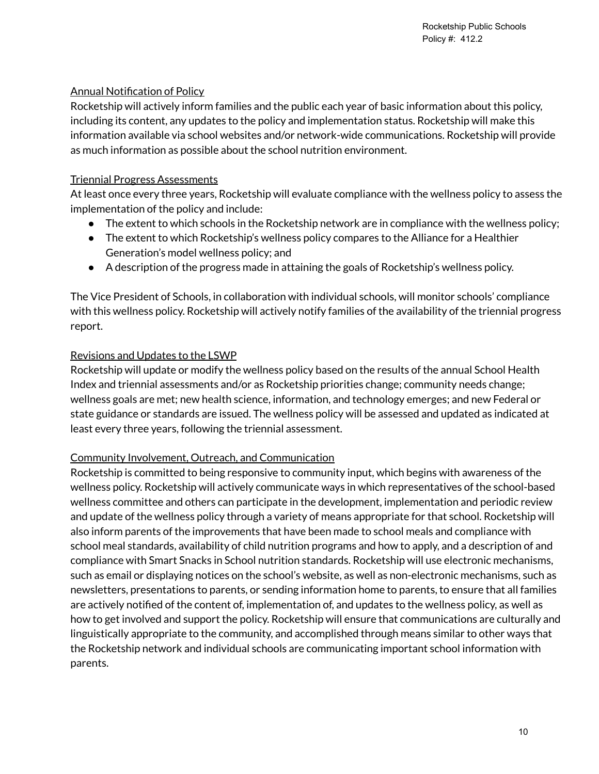## Annual Notification of Policy

Rocketship will actively inform families and the public each year of basic information about this policy, including its content, any updates to the policy and implementation status. Rocketship will make this information available via school websites and/or network-wide communications. Rocketship will provide as much information as possible about the school nutrition environment.

#### Triennial Progress Assessments

At least once every three years, Rocketship will evaluate compliance with the wellness policy to assess the implementation of the policy and include:

- The extent to which schools in the Rocketship network are in compliance with the wellness policy;
- The extent to which Rocketship's wellness policy compares to the Alliance for a Healthier Generation's model wellness policy; and
- A description of the progress made in attaining the goals of Rocketship's wellness policy.

The Vice President of Schools, in collaboration with individual schools, will monitor schools' compliance with this wellness policy. Rocketship will actively notify families of the availability of the triennial progress report.

#### Revisions and Updates to the LSWP

Rocketship will update or modify the wellness policy based on the results of the annual School Health Index and triennial assessments and/or as Rocketship priorities change; community needs change; wellness goals are met; new health science, information, and technology emerges; and new Federal or state guidance or standards are issued. The wellness policy will be assessed and updated as indicated at least every three years, following the triennial assessment.

## Community Involvement, Outreach, and Communication

Rocketship is committed to being responsive to community input, which begins with awareness of the wellness policy. Rocketship will actively communicate ways in which representatives of the school-based wellness committee and others can participate in the development, implementation and periodic review and update of the wellness policy through a variety of means appropriate for that school. Rocketship will also inform parents of the improvements that have been made to school meals and compliance with school meal standards, availability of child nutrition programs and how to apply, and a description of and compliance with Smart Snacks in School nutrition standards. Rocketship will use electronic mechanisms, such as email or displaying notices on the school's website, as well as non-electronic mechanisms, such as newsletters, presentations to parents, or sending information home to parents, to ensure that all families are actively notified of the content of, implementation of, and updates to the wellness policy, as well as how to get involved and support the policy. Rocketship will ensure that communications are culturally and linguistically appropriate to the community, and accomplished through means similar to other ways that the Rocketship network and individual schools are communicating important school information with parents.